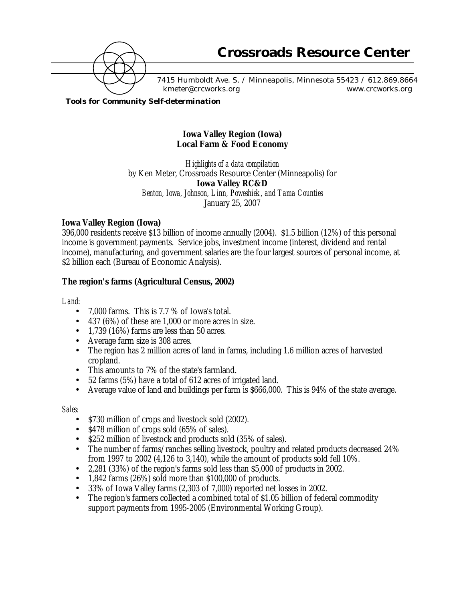

7415 Humboldt Ave. S. / Minneapolis, Minnesota 55423 / 612.869.8664 kmeter@crcworks.org www.crcworks.org

*Tools for Community Self-determination*

# **Iowa Valley Region (Iowa) Local Farm & Food Economy**

*Highlights of a data compilation* by Ken Meter, Crossroads Resource Center (Minneapolis) for **Iowa Valley RC&D** *Benton, Iowa, Johnson, Linn, Poweshiek, and Tama Counties* January 25, 2007

# **Iowa Valley Region (Iowa)**

396,000 residents receive \$13 billion of income annually (2004). \$1.5 billion (12%) of this personal income is government payments. Service jobs, investment income (interest, dividend and rental income), manufacturing, and government salaries are the four largest sources of personal income, at \$2 billion each (Bureau of Economic Analysis).

# **The region's farms (Agricultural Census, 2002)**

### *Land:*

- 7,000 farms. This is 7.7 % of Iowa's total.
- 437 (6%) of these are 1,000 or more acres in size.
- 1,739 (16%) farms are less than 50 acres.
- Average farm size is 308 acres.
- The region has 2 million acres of land in farms, including 1.6 million acres of harvested cropland.
- This amounts to 7% of the state's farmland.
- 52 farms (5%) have a total of 612 acres of irrigated land.
- Average value of land and buildings per farm is \$666,000. This is 94% of the state average.

### *Sales:*

- \$730 million of crops and livestock sold (2002).
- \$478 million of crops sold (65% of sales).
- \$252 million of livestock and products sold (35% of sales).
- The number of farms/ranches selling livestock, poultry and related products decreased 24% from 1997 to 2002 (4,126 to 3,140), while the amount of products sold fell 10%.
- 2,281 (33%) of the region's farms sold less than  $$5,000$  of products in 2002.
- 1,842 farms (26%) sold more than \$100,000 of products.
- 33% of Iowa Valley farms (2,303 of 7,000) reported net losses in 2002.
- The region's farmers collected a combined total of \$1.05 billion of federal commodity support payments from 1995-2005 (Environmental Working Group).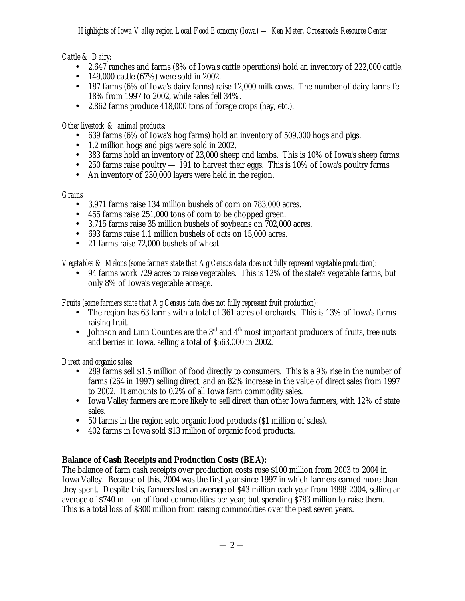*Cattle & Dairy:*

- 2,647 ranches and farms (8% of Iowa's cattle operations) hold an inventory of 222,000 cattle.
- 149,000 cattle (67%) were sold in 2002.
- 187 farms (6% of Iowa's dairy farms) raise 12,000 milk cows. The number of dairy farms fell 18% from 1997 to 2002, while sales fell 34%.
- 2,862 farms produce 418,000 tons of forage crops (hay, etc.).

*Other livestock & animal products:*

- 639 farms (6% of Iowa's hog farms) hold an inventory of 509,000 hogs and pigs.
- 1.2 million hogs and pigs were sold in 2002.
- 383 farms hold an inventory of 23,000 sheep and lambs. This is 10% of Iowa's sheep farms.
- 250 farms raise poultry  $-191$  to harvest their eggs. This is 10% of Iowa's poultry farms
- An inventory of 230,000 layers were held in the region.

*Grains*

- 3,971 farms raise 134 million bushels of corn on 783,000 acres.
- 455 farms raise 251,000 tons of corn to be chopped green.
- 3,715 farms raise 35 million bushels of soybeans on 702,000 acres.
- 693 farms raise 1.1 million bushels of oats on 15,000 acres.
- 21 farms raise 72,000 bushels of wheat.

*Vegetables & Melons (some farmers state that Ag Census data does not fully represent vegetable production):*

• 94 farms work 729 acres to raise vegetables. This is 12% of the state's vegetable farms, but only 8% of Iowa's vegetable acreage.

*Fruits (some farmers state that Ag Census data does not fully represent fruit production):*

- The region has 63 farms with a total of 361 acres of orchards. This is 13% of Iowa's farms raising fruit.
- Johnson and Linn Counties are the  $3<sup>rd</sup>$  and  $4<sup>th</sup>$  most important producers of fruits, tree nuts and berries in Iowa, selling a total of \$563,000 in 2002.

*Direct and organic sales:*

- 289 farms sell \$1.5 million of food directly to consumers. This is a 9% rise in the number of farms (264 in 1997) selling direct, and an 82% increase in the value of direct sales from 1997 to 2002. It amounts to 0.2% of all Iowa farm commodity sales.
- Iowa Valley farmers are more likely to sell direct than other Iowa farmers, with 12% of state sales.
- 50 farms in the region sold organic food products (\$1 million of sales).
- 402 farms in Iowa sold \$13 million of organic food products.

# **Balance of Cash Receipts and Production Costs (BEA):**

The balance of farm cash receipts over production costs rose \$100 million from 2003 to 2004 in Iowa Valley. Because of this, 2004 was the first year since 1997 in which farmers earned more than they spent. Despite this, farmers lost an average of \$43 million each year from 1998-2004, selling an average of \$740 million of food commodities per year, but spending \$783 million to raise them. This is a total loss of \$300 million from raising commodities over the past seven years.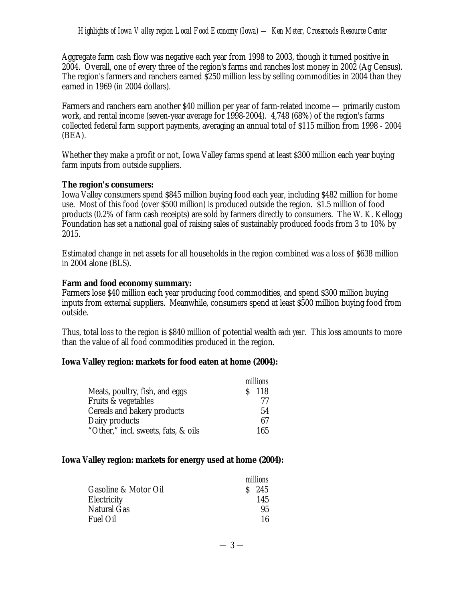Aggregate farm cash flow was negative each year from 1998 to 2003, though it turned positive in 2004. Overall, one of every three of the region's farms and ranches lost money in 2002 (Ag Census). The region's farmers and ranchers earned \$250 million less by selling commodities in 2004 than they earned in 1969 (in 2004 dollars).

Farmers and ranchers earn another \$40 million per year of farm-related income — primarily custom work, and rental income (seven-year average for 1998-2004). 4,748 (68%) of the region's farms collected federal farm support payments, averaging an annual total of \$115 million from 1998 - 2004 (BEA).

Whether they make a profit or not, Iowa Valley farms spend at least \$300 million each year buying farm inputs from outside suppliers.

#### **The region's consumers:**

Iowa Valley consumers spend \$845 million buying food each year, including \$482 million for home use. Most of this food (over \$500 million) is produced outside the region. \$1.5 million of food products (0.2% of farm cash receipts) are sold by farmers directly to consumers. The W. K. Kellogg Foundation has set a national goal of raising sales of sustainably produced foods from 3 to 10% by 2015.

Estimated change in net assets for all households in the region combined was a loss of \$638 million in 2004 alone (BLS).

#### **Farm and food economy summary:**

Farmers lose \$40 million each year producing food commodities, and spend \$300 million buying inputs from external suppliers. Meanwhile, consumers spend at least \$500 million buying food from outside.

Thus, total loss to the region is \$840 million of potential wealth *each year*. This loss amounts to more than the value of all food commodities produced in the region.

### **Iowa Valley region: markets for food eaten at home (2004):**

|                                     | millions |
|-------------------------------------|----------|
| Meats, poultry, fish, and eggs      | $S$ 118  |
| Fruits & vegetables                 | 77       |
| Cereals and bakery products         | 54       |
| Dairy products                      | 67       |
| "Other," incl. sweets, fats, & oils | 165      |

### **Iowa Valley region: markets for energy used at home (2004):**

|                      | millions |
|----------------------|----------|
| Gasoline & Motor Oil | $S$ 245  |
| Electricity          | 145      |
| Natural Gas          | 95       |
| Fuel Oil             | 16       |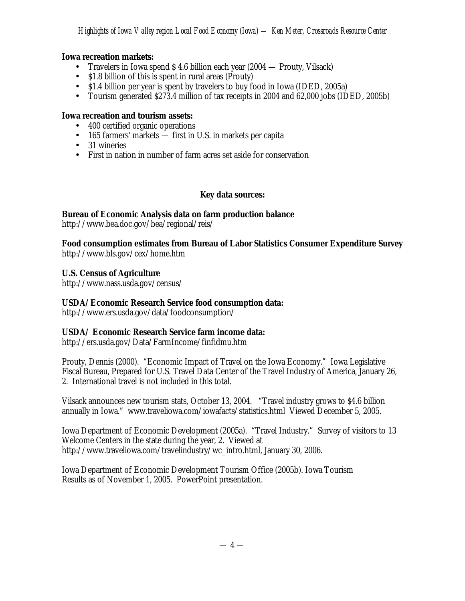# **Iowa recreation markets:**

- Travelers in Iowa spend \$4.6 billion each year (2004 Prouty, Vilsack)
- \$1.8 billion of this is spent in rural areas (Prouty)
- \$1.4 billion per year is spent by travelers to buy food in Iowa (IDED, 2005a)
- Tourism generated \$273.4 million of tax receipts in 2004 and 62,000 jobs (IDED, 2005b)

### **Iowa recreation and tourism assets:**

- 400 certified organic operations
- 165 farmers' markets first in U.S. in markets per capita
- 31 wineries
- First in nation in number of farm acres set aside for conservation

# **Key data sources:**

# **Bureau of Economic Analysis data on farm production balance**

http://www.bea.doc.gov/bea/regional/reis/

**Food consumption estimates from Bureau of Labor Statistics Consumer Expenditure Survey** http://www.bls.gov/cex/home.htm

# **U.S. Census of Agriculture**

http://www.nass.usda.gov/census/

### **USDA/Economic Research Service food consumption data:**

http://www.ers.usda.gov/data/foodconsumption/

# **USDA/ Economic Research Service farm income data:**

http://ers.usda.gov/Data/FarmIncome/finfidmu.htm

Prouty, Dennis (2000). "Economic Impact of Travel on the Iowa Economy." Iowa Legislative Fiscal Bureau, Prepared for U.S. Travel Data Center of the Travel Industry of America, January 26, 2. International travel is not included in this total.

Vilsack announces new tourism stats, October 13, 2004. "Travel industry grows to \$4.6 billion annually in Iowa." www.traveliowa.com/iowafacts/statistics.html Viewed December 5, 2005.

Iowa Department of Economic Development (2005a). "Travel Industry." Survey of visitors to 13 Welcome Centers in the state during the year, 2. Viewed at http://www.traveliowa.com/travelindustry/wc\_intro.html, January 30, 2006.

Iowa Department of Economic Development Tourism Office (2005b). Iowa Tourism Results as of November 1, 2005. PowerPoint presentation.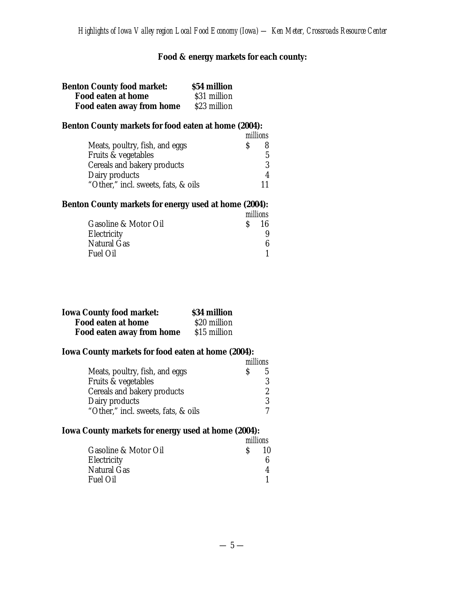# **Food & energy markets for each county:**

| <b>Benton County food market:</b> | \$54 million |
|-----------------------------------|--------------|
| Food eaten at home                | \$31 million |
| Food eaten away from home         | \$23 million |

# **Benton County markets for food eaten at home (2004):**

|                                     | millions |
|-------------------------------------|----------|
| Meats, poultry, fish, and eggs      |          |
| Fruits & vegetables                 | 5.       |
| Cereals and bakery products         | २        |
| Dairy products                      |          |
| "Other," incl. sweets, fats, & oils |          |

# **Benton County markets for energy used at home (2004):**

|                      |         | millions |
|----------------------|---------|----------|
| Gasoline & Motor Oil | $S_{-}$ | 16       |
| Electricity          |         |          |
| Natural Gas          |         |          |
| Fuel Oil             |         |          |

| <b>Iowa County food market:</b> | \$34 million |
|---------------------------------|--------------|
| Food eaten at home              | \$20 million |
| Food eaten away from home       | \$15 million |

### **Iowa County markets for food eaten at home (2004):**

|                                     | millions |   |
|-------------------------------------|----------|---|
| Meats, poultry, fish, and eggs      |          |   |
| Fruits & vegetables                 |          | ঽ |
| Cereals and bakery products         |          |   |
| Dairy products                      |          | ঽ |
| "Other," incl. sweets, fats, & oils |          |   |

# **Iowa County markets for energy used at home (2004):**

|                      | millions    |    |
|----------------------|-------------|----|
| Gasoline & Motor Oil | $S_{\rm c}$ | 10 |
| Electricity          |             |    |
| Natural Gas          |             |    |
| Fuel Oil             |             |    |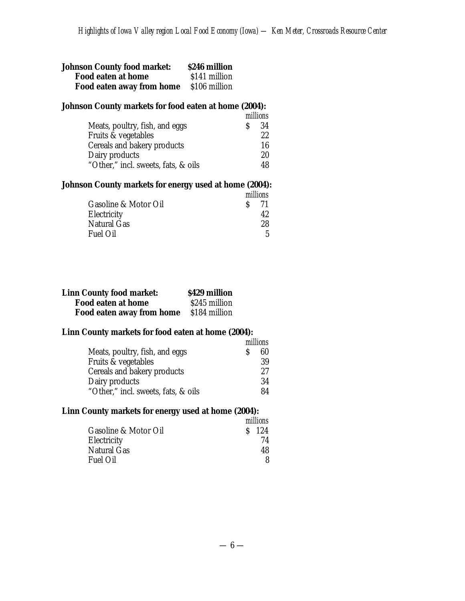| <b>Johnson County food market:</b> | <b>S246 million</b> |
|------------------------------------|---------------------|
| Food eaten at home                 | \$141 million       |
| Food eaten away from home          | \$106 million       |

### **Johnson County markets for food eaten at home (2004):**

|                                     | millions |
|-------------------------------------|----------|
| Meats, poultry, fish, and eggs      | 34       |
| Fruits & vegetables                 | 22       |
| Cereals and bakery products         | 16       |
| Dairy products                      | 20       |
| "Other," incl. sweets, fats, & oils | 48       |

### **Johnson County markets for energy used at home (2004):**

|                      |               | millions |
|----------------------|---------------|----------|
| Gasoline & Motor Oil | $\mathcal{S}$ | -71      |
| Electricity          |               |          |
| Natural Gas          |               | 28.      |
| Fuel Oil             |               | 5        |

| <b>Linn County food market:</b>                | \$429 million |
|------------------------------------------------|---------------|
| Food eaten at home                             | \$245 million |
| <b>Food eaten away from home</b> \$184 million |               |

### **Linn County markets for food eaten at home (2004):**

|                                     |    | millions |
|-------------------------------------|----|----------|
| Meats, poultry, fish, and eggs      | S. | 60       |
| Fruits & vegetables                 |    | 39       |
| Cereals and bakery products         |    | 27       |
| Dairy products                      |    | 34       |
| "Other," incl. sweets, fats, & oils |    | 84       |

# **Linn County markets for energy used at home (2004):**

|                      | millions |
|----------------------|----------|
| Gasoline & Motor Oil | $S$ 124  |
| Electricity          | 74       |
| Natural Gas          | 48       |
| <b>Fuel Oil</b>      |          |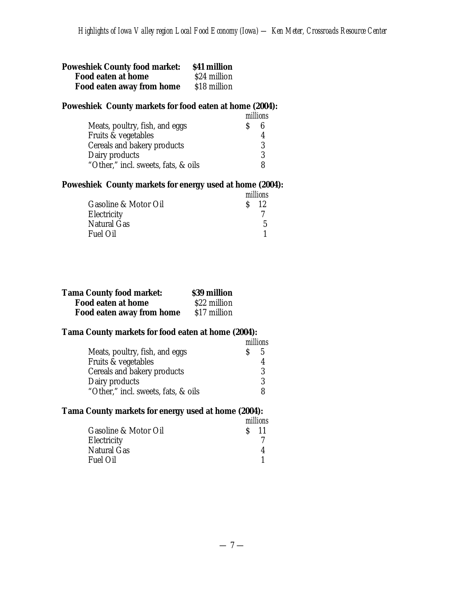| <b>Poweshiek County food market:</b> | <b>S41 million</b> |
|--------------------------------------|--------------------|
| Food eaten at home                   | \$24 million       |
| Food eaten away from home            | \$18 million       |

### **Poweshiek County markets for food eaten at home (2004):**

|                                     | millions |   |
|-------------------------------------|----------|---|
| Meats, poultry, fish, and eggs      |          |   |
| Fruits & vegetables                 |          |   |
| Cereals and bakery products         |          | 3 |
| Dairy products                      |          | ঽ |
| "Other," incl. sweets, fats, & oils |          |   |

### **Poweshiek County markets for energy used at home (2004):**

|                      | millions |  |
|----------------------|----------|--|
| Gasoline & Motor Oil | $S = 12$ |  |
| Electricity          |          |  |
| Natural Gas          | 5        |  |
| Fuel Oil             |          |  |

| <b>Tama County food market:</b> | \$39 million |
|---------------------------------|--------------|
| Food eaten at home              | \$22 million |
| Food eaten away from home       | \$17 million |

# **Tama County markets for food eaten at home (2004):**

|                                     | millions |   |
|-------------------------------------|----------|---|
| Meats, poultry, fish, and eggs      |          | 5 |
| Fruits & vegetables                 |          |   |
| Cereals and bakery products         |          | 3 |
| Dairy products                      |          | 3 |
| "Other," incl. sweets, fats, & oils |          |   |

# **Tama County markets for energy used at home (2004):**

|                      | millions |        |
|----------------------|----------|--------|
| Gasoline & Motor Oil |          | $S$ 11 |
| Electricity          |          |        |
| Natural Gas          |          |        |
| <b>Fuel Oil</b>      |          |        |